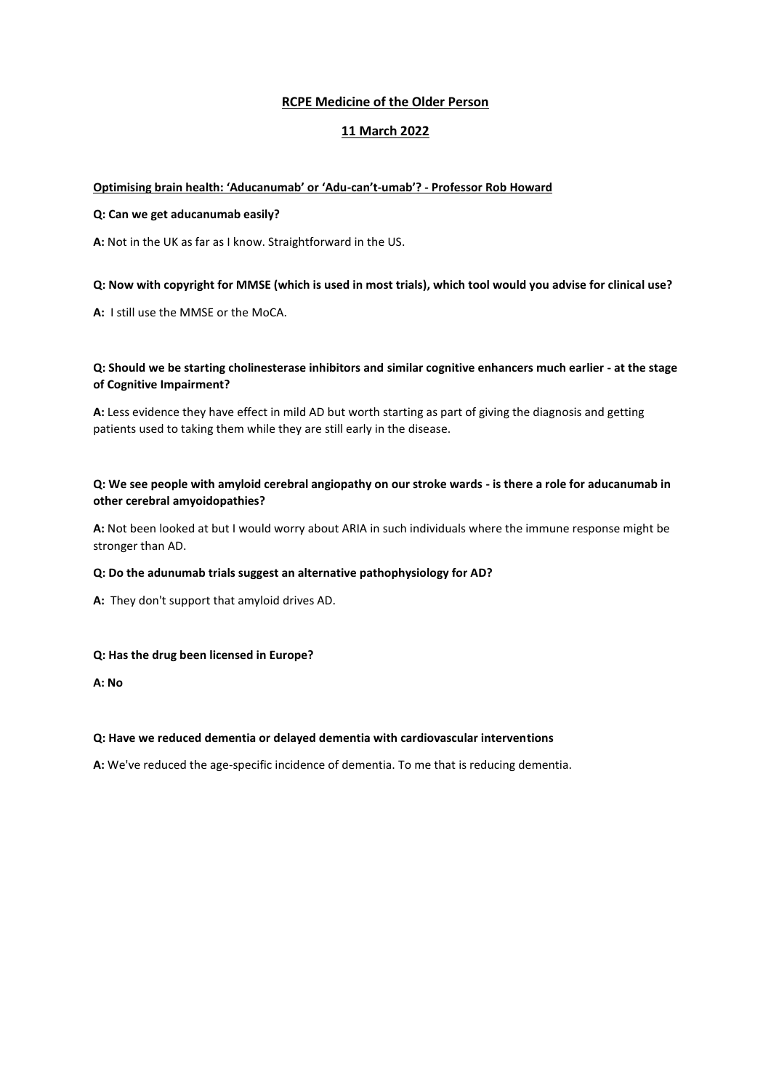# **RCPE Medicine of the Older Person**

# **11 March 2022**

## **Optimising brain health: 'Aducanumab' or 'Adu-can't-umab'? - Professor Rob Howard**

### **Q: Can we get aducanumab easily?**

**A:** Not in the UK as far as I know. Straightforward in the US.

## **Q: Now with copyright for MMSE (which is used in most trials), which tool would you advise for clinical use?**

**A:** I still use the MMSE or the MoCA.

## **Q: Should we be starting cholinesterase inhibitors and similar cognitive enhancers much earlier - at the stage of Cognitive Impairment?**

**A:** Less evidence they have effect in mild AD but worth starting as part of giving the diagnosis and getting patients used to taking them while they are still early in the disease.

## **Q: We see people with amyloid cerebral angiopathy on our stroke wards - is there a role for aducanumab in other cerebral amyoidopathies?**

**A:** Not been looked at but I would worry about ARIA in such individuals where the immune response might be stronger than AD.

### **Q: Do the adunumab trials suggest an alternative pathophysiology for AD?**

**A:** They don't support that amyloid drives AD.

### **Q: Has the drug been licensed in Europe?**

**A: No**

### **Q: Have we reduced dementia or delayed dementia with cardiovascular interventions**

**A:** We've reduced the age-specific incidence of dementia. To me that is reducing dementia.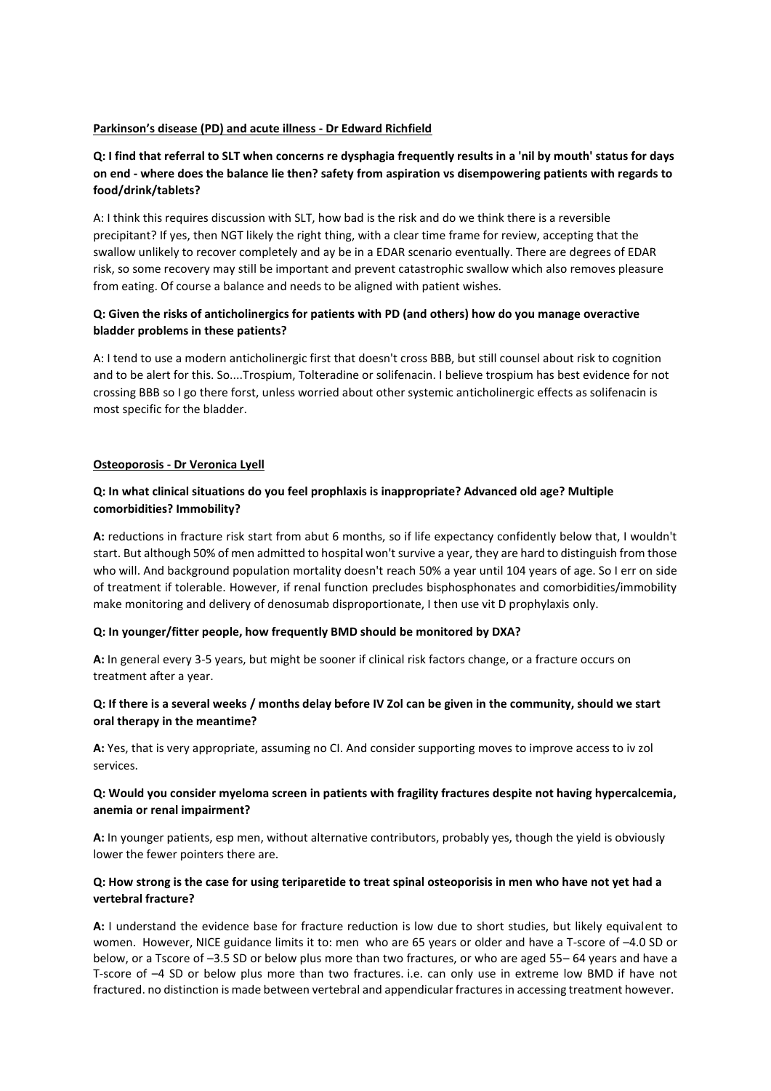### **Parkinson's disease (PD) and acute illness - Dr Edward Richfield**

# **Q: I find that referral to SLT when concerns re dysphagia frequently results in a 'nil by mouth' status for days on end - where does the balance lie then? safety from aspiration vs disempowering patients with regards to food/drink/tablets?**

A: I think this requires discussion with SLT, how bad is the risk and do we think there is a reversible precipitant? If yes, then NGT likely the right thing, with a clear time frame for review, accepting that the swallow unlikely to recover completely and ay be in a EDAR scenario eventually. There are degrees of EDAR risk, so some recovery may still be important and prevent catastrophic swallow which also removes pleasure from eating. Of course a balance and needs to be aligned with patient wishes.

# **Q: Given the risks of anticholinergics for patients with PD (and others) how do you manage overactive bladder problems in these patients?**

A: I tend to use a modern anticholinergic first that doesn't cross BBB, but still counsel about risk to cognition and to be alert for this. So....Trospium, Tolteradine or solifenacin. I believe trospium has best evidence for not crossing BBB so I go there forst, unless worried about other systemic anticholinergic effects as solifenacin is most specific for the bladder.

## **Osteoporosis - Dr Veronica Lyell**

## **Q: In what clinical situations do you feel prophlaxis is inappropriate? Advanced old age? Multiple comorbidities? Immobility?**

**A:** reductions in fracture risk start from abut 6 months, so if life expectancy confidently below that, I wouldn't start. But although 50% of men admitted to hospital won't survive a year, they are hard to distinguish from those who will. And background population mortality doesn't reach 50% a year until 104 years of age. So I err on side of treatment if tolerable. However, if renal function precludes bisphosphonates and comorbidities/immobility make monitoring and delivery of denosumab disproportionate, I then use vit D prophylaxis only.

### **Q: In younger/fitter people, how frequently BMD should be monitored by DXA?**

**A:** In general every 3-5 years, but might be sooner if clinical risk factors change, or a fracture occurs on treatment after a year.

## **Q: If there is a several weeks / months delay before IV Zol can be given in the community, should we start oral therapy in the meantime?**

**A:** Yes, that is very appropriate, assuming no CI. And consider supporting moves to improve access to iv zol services.

### **Q: Would you consider myeloma screen in patients with fragility fractures despite not having hypercalcemia, anemia or renal impairment?**

**A:** In younger patients, esp men, without alternative contributors, probably yes, though the yield is obviously lower the fewer pointers there are.

## **Q: How strong is the case for using teriparetide to treat spinal osteoporisis in men who have not yet had a vertebral fracture?**

**A:** I understand the evidence base for fracture reduction is low due to short studies, but likely equivalent to women. However, NICE guidance limits it to: men who are 65 years or older and have a T-score of -4.0 SD or below, or a Tscore of –3.5 SD or below plus more than two fractures, or who are aged 55– 64 years and have a T-score of –4 SD or below plus more than two fractures. i.e. can only use in extreme low BMD if have not fractured. no distinction is made between vertebral and appendicular fractures in accessing treatment however.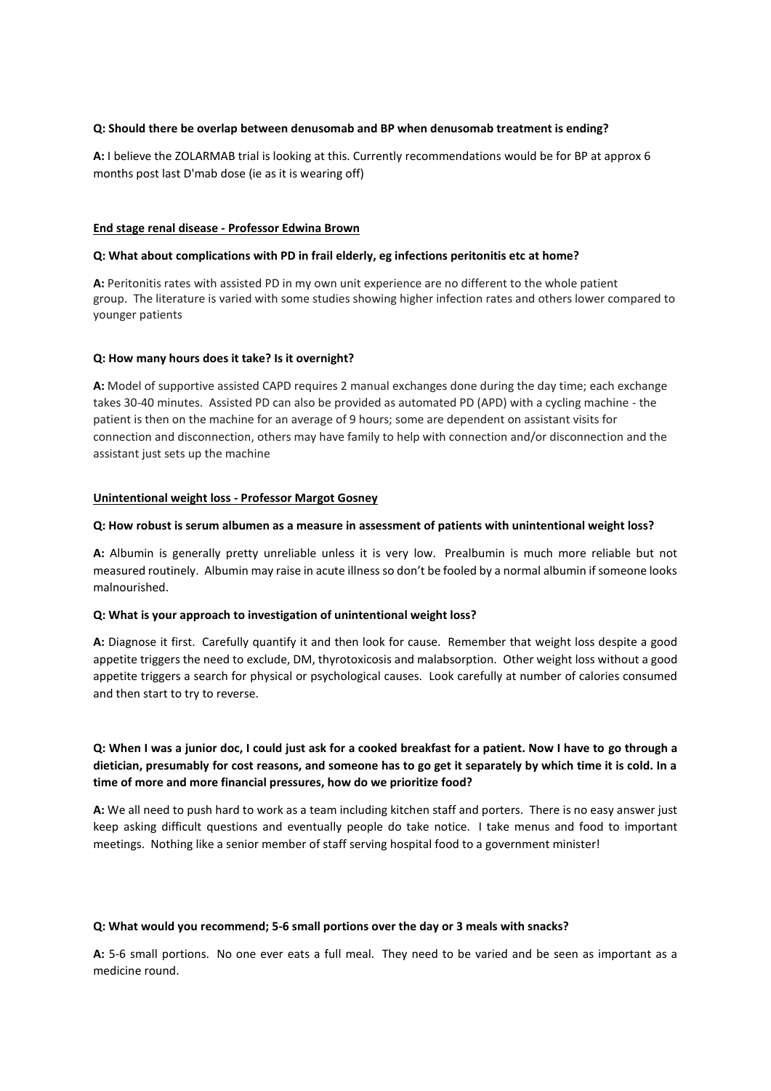### **Q: Should there be overlap between denusomab and BP when denusomab treatment is ending?**

**A:** I believe the ZOLARMAB trial is looking at this. Currently recommendations would be for BP at approx 6 months post last D'mab dose (ie as it is wearing off)

#### **End stage renal disease - Professor Edwina Brown**

#### **Q: What about complications with PD in frail elderly, eg infections peritonitis etc at home?**

**A:** Peritonitis rates with assisted PD in my own unit experience are no different to the whole patient group. The literature is varied with some studies showing higher infection rates and others lower compared to younger patients

#### **Q: How many hours does it take? Is it overnight?**

**A:** Model of supportive assisted CAPD requires 2 manual exchanges done during the day time; each exchange takes 30-40 minutes. Assisted PD can also be provided as automated PD (APD) with a cycling machine - the patient is then on the machine for an average of 9 hours; some are dependent on assistant visits for connection and disconnection, others may have family to help with connection and/or disconnection and the assistant just sets up the machine

#### **Unintentional weight loss - Professor Margot Gosney**

#### **Q: How robust is serum albumen as a measure in assessment of patients with unintentional weight loss?**

**A:** Albumin is generally pretty unreliable unless it is very low. Prealbumin is much more reliable but not measured routinely. Albumin may raise in acute illness so don't be fooled by a normal albumin if someone looks malnourished.

#### **Q: What is your approach to investigation of unintentional weight loss?**

**A:** Diagnose it first. Carefully quantify it and then look for cause. Remember that weight loss despite a good appetite triggers the need to exclude, DM, thyrotoxicosis and malabsorption. Other weight loss without a good appetite triggers a search for physical or psychological causes. Look carefully at number of calories consumed and then start to try to reverse.

**Q: When I was a junior doc, I could just ask for a cooked breakfast for a patient. Now I have to go through a dietician, presumably for cost reasons, and someone has to go get it separately by which time it is cold. In a time of more and more financial pressures, how do we prioritize food?**

**A:** We all need to push hard to work as a team including kitchen staff and porters. There is no easy answer just keep asking difficult questions and eventually people do take notice. I take menus and food to important meetings. Nothing like a senior member of staff serving hospital food to a government minister!

#### **Q: What would you recommend; 5-6 small portions over the day or 3 meals with snacks?**

**A:** 5-6 small portions. No one ever eats a full meal. They need to be varied and be seen as important as a medicine round.